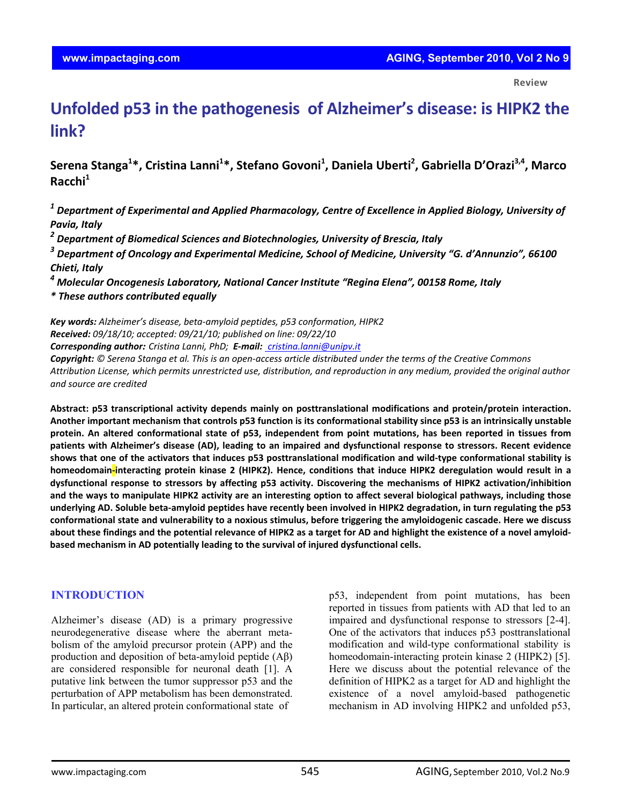**Review**

# **Unfolded p53 in the pathogenesis of Alzheimer's disease: is HIPK2 the link?**

**Serena Stanga1 \*, Cristina Lanni1 \*, Stefano Govoni1 , Daniela Uberti2 , Gabriella D'Orazi3,4, Marco Racchi1** 

*<sup>1</sup> Department of Experimental and Applied Pharmacology, Centre of Excellence in Applied Biology, University of Pavia, Italy*

*<sup>2</sup> Department of Biomedical Sciences and Biotechnologies, University of Brescia, Italy*

*<sup>3</sup> Department of Oncology and Experimental Medicine, School of Medicine, University "G. d'Annunzio", 66100 Chieti, Italy*

*<sup>4</sup> Molecular Oncogenesis Laboratory, National Cancer Institute "Regina Elena", 00158 Rome, Italy*

*\* These authors contributed equally*

*Key words: Alzheimer's disease, beta‐amyloid peptides, p53 conformation, HIPK2 Received: 09/18/10; accepted: 09/21/10; published on line: 09/22/10*

*Corresponding author: Cristina Lanni, PhD; E‐mail: cristina.lanni@unipv.it*

Copyright: © Serena Stanga et al. This is an open-access article distributed under the terms of the Creative Commons Attribution License, which permits unrestricted use, distribution, and reproduction in any medium, provided the original author *and source are credited*

**Abstract: p53 transcriptional activity depends mainly on posttranslational modifications and protein/protein interaction.** Another important mechanism that controls p53 function is its conformational stability since p53 is an intrinsically unstable protein. An altered conformational state of p53, independent from point mutations, has been reported in tissues from patients with Alzheimer's disease (AD), leading to an impaired and dysfunctional response to stressors. Recent evidence shows that one of the activators that induces p53 posttranslational modification and wild-type conformational stability is homeodomain-interacting protein kinase 2 (HIPK2). Hence, conditions that induce HIPK2 deregulation would result in a **dysfunctional response to stressors by affecting p53 activity. Discovering the mechanisms of HIPK2 activation/inhibition** and the ways to manipulate HIPK2 activity are an interesting option to affect several biological pathways, including those underlying AD. Soluble beta-amyloid peptides have recently been involved in HIPK2 degradation, in turn regulating the p53 conformational state and vulnerability to a noxious stimulus, before triggering the amyloidogenic cascade. Here we discuss about these findings and the potential relevance of HIPK2 as a target for AD and highlight the existence of a novel amyloid**based mechanism in AD potentially leading to the survival of injured dysfunctional cells.**

## **INTRODUCTION**

Alzheimer's disease (AD) is a primary progressive neurodegenerative disease where the aberrant metabolism of the amyloid precursor protein (APP) and the production and deposition of beta-amyloid peptide (Aβ) are considered responsible for neuronal death [1]. A putative link between the tumor suppressor p53 and the perturbation of APP metabolism has been demonstrated. In particular, an altered protein conformational state of

p53, independent from point mutations, has been reported in tissues from patients with AD that led to an impaired and dysfunctional response to stressors [2-4]. One of the activators that induces p53 posttranslational modification and wild-type conformational stability is homeodomain-interacting protein kinase 2 (HIPK2) [5]. Here we discuss about the potential relevance of the definition of HIPK2 as a target for AD and highlight the existence of a novel amyloid-based pathogenetic mechanism in AD involving HIPK2 and unfolded p53,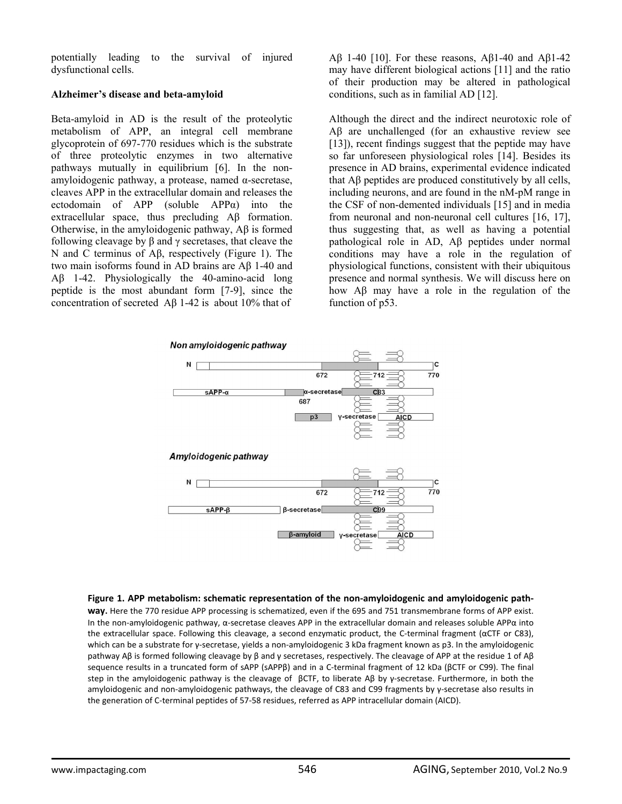potentially leading to the survival of injured dysfunctional cells.

### **Alzheimer's disease and beta-amyloid**

Beta-amyloid in AD is the result of the proteolytic metabolism of APP, an integral cell membrane glycoprotein of 697-770 residues which is the substrate of three proteolytic enzymes in two alternative pathways mutually in equilibrium [6]. In the nonamyloidogenic pathway, a protease, named α-secretase, cleaves APP in the extracellular domain and releases the ectodomain of APP (soluble APPα) into the extracellular space, thus precluding Aβ formation. Otherwise, in the amyloidogenic pathway, Aβ is formed following cleavage by  $\beta$  and  $\gamma$  secretases, that cleave the N and C terminus of Aβ, respectively (Figure 1). The two main isoforms found in AD brains are Aβ 1-40 and Aβ 1-42. Physiologically the 40-amino-acid long peptide is the most abundant form [7-9], since the concentration of secreted Aβ 1-42 is about 10% that of

Aβ 1-40 [10]. For these reasons, Aβ1-40 and Aβ1-42 may have different biological actions [11] and the ratio of their production may be altered in pathological conditions, such as in familial AD [12].

Although the direct and the indirect neurotoxic role of Aβ are unchallenged (for an exhaustive review see [13]), recent findings suggest that the peptide may have so far unforeseen physiological roles [14]. Besides its presence in AD brains, experimental evidence indicated that Aβ peptides are produced constitutively by all cells, including neurons, and are found in the nM-pM range in the CSF of non-demented individuals [15] and in media from neuronal and non-neuronal cell cultures [16, 17], thus suggesting that, as well as having a potential pathological role in AD, Aβ peptides under normal conditions may have a role in the regulation of physiological functions, consistent with their ubiquitous presence and normal synthesis. We will discuss here on how Aβ may have a role in the regulation of the function of  $p53$ .



**Figure 1. APP metabolism: schematic representation of the non‐amyloidogenic and amyloidogenic path‐**

**way.** Here the 770 residue APP processing is schematized, even if the 695 and 751 transmembrane forms of APP exist. In the non-amyloidogenic pathway, α-secretase cleaves APP in the extracellular domain and releases soluble APPα into the extracellular space. Following this cleavage, a second enzymatic product, the C-terminal fragment (αCTF or C83), which can be a substrate for γ-secretase, yields a non-amyloidogenic 3 kDa fragment known as p3. In the amyloidogenic pathway Aβ is formed following cleavage by β and γ secretases, respectively. The cleavage of APP at the residue 1 of Aβ sequence results in a truncated form of sAPP (sAPPβ) and in a C-terminal fragment of 12 kDa (βCTF or C99). The final step in the amyloidogenic pathway is the cleavage of βCTF, to liberate Aβ by y-secretase. Furthermore, in both the amyloidogenic and non-amyloidogenic pathways, the cleavage of C83 and C99 fragments by γ-secretase also results in the generation of C‐terminal peptides of 57‐58 residues, referred as APP intracellular domain (AICD).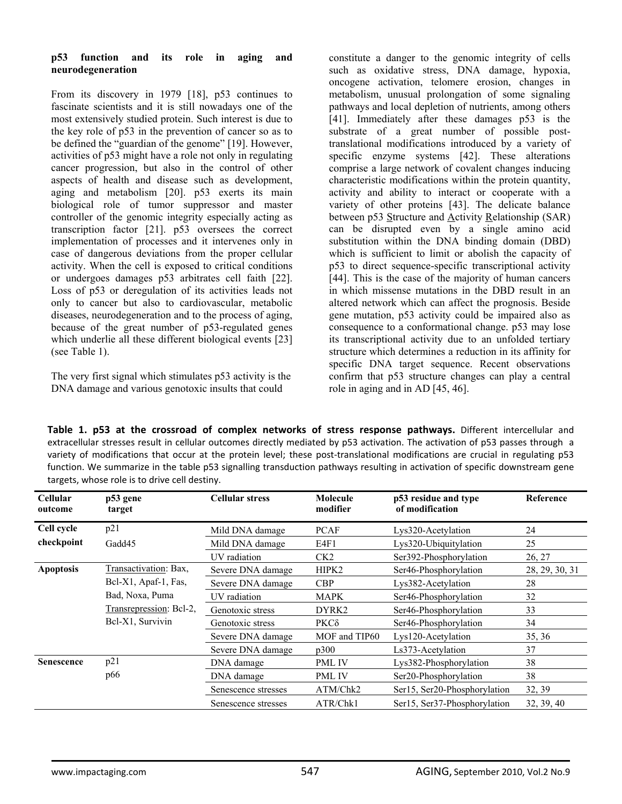#### **p53 function and its role in aging and neurodegeneration**

From its discovery in 1979 [18], p53 continues to fascinate scientists and it is still nowadays one of the most extensively studied protein. Such interest is due to the key role of p53 in the prevention of cancer so as to be defined the "guardian of the genome" [19]. However, activities of p53 might have a role not only in regulating cancer progression, but also in the control of other aspects of health and disease such as development, aging and metabolism [20]. p53 exerts its main biological role of tumor suppressor and master controller of the genomic integrity especially acting as transcription factor [21]. p53 oversees the correct implementation of processes and it intervenes only in case of dangerous deviations from the proper cellular activity. When the cell is exposed to critical conditions or undergoes damages p53 arbitrates cell faith [22]. Loss of p53 or deregulation of its activities leads not only to cancer but also to cardiovascular, metabolic diseases, neurodegeneration and to the process of aging, because of the great number of p53-regulated genes which underlie all these different biological events [23] (see Table 1).

The very first signal which stimulates p53 activity is the DNA damage and various genotoxic insults that could

constitute a danger to the genomic integrity of cells such as oxidative stress, DNA damage, hypoxia, oncogene activation, telomere erosion, changes in metabolism, unusual prolongation of some signaling pathways and local depletion of nutrients, among others [41]. Immediately after these damages p53 is the substrate of a great number of possible posttranslational modifications introduced by a variety of specific enzyme systems [42]. These alterations comprise a large network of covalent changes inducing characteristic modifications within the protein quantity, activity and ability to interact or cooperate with a variety of other proteins [43]. The delicate balance between p53 Structure and Activity Relationship (SAR) can be disrupted even by a single amino acid substitution within the DNA binding domain (DBD) which is sufficient to limit or abolish the capacity of p53 to direct sequence-specific transcriptional activity [44]. This is the case of the majority of human cancers in which missense mutations in the DBD result in an altered network which can affect the prognosis. Beside gene mutation, p53 activity could be impaired also as consequence to a conformational change. p53 may lose its transcriptional activity due to an unfolded tertiary structure which determines a reduction in its affinity for specific DNA target sequence. Recent observations confirm that p53 structure changes can play a central role in aging and in AD [45, 46].

**Table 1. p53 at the crossroad of complex networks of stress response pathways.** Different intercellular and extracellular stresses result in cellular outcomes directly mediated by p53 activation. The activation of p53 passes through a variety of modifications that occur at the protein level; these post-translational modifications are crucial in regulating p53 function. We summarize in the table p53 signalling transduction pathways resulting in activation of specific downstream gene targets, whose role is to drive cell destiny.

| <b>Cellular</b><br>outcome | p53 gene<br>target                                                                     | <b>Cellular stress</b> | Molecule<br>modifier | p53 residue and type<br>of modification | Reference      |
|----------------------------|----------------------------------------------------------------------------------------|------------------------|----------------------|-----------------------------------------|----------------|
| Cell cycle                 | p21                                                                                    | Mild DNA damage        | <b>PCAF</b>          | Lys320-Acetylation                      | 24             |
| checkpoint                 | Gadd45                                                                                 | Mild DNA damage        | E4F1                 | Lys320-Ubiquitylation                   | 25             |
|                            |                                                                                        | UV radiation           | CK <sub>2</sub>      | Ser392-Phosphorylation                  | 26, 27         |
| <b>Apoptosis</b>           | Transactivation: Bax,                                                                  | Severe DNA damage      | HIPK2                | Ser46-Phosphorylation                   | 28, 29, 30, 31 |
|                            | Bcl-X1, Apaf-1, Fas,<br>Bad, Noxa, Puma<br>Transrepression: Bcl-2,<br>Bel-X1, Survivin | Severe DNA damage      | <b>CBP</b>           | Lys382-Acetylation                      | 28             |
|                            |                                                                                        | UV radiation           | <b>MAPK</b>          | Ser46-Phosphorylation                   | 32             |
|                            |                                                                                        | Genotoxic stress       | DYRK2                | Ser <sub>46</sub> -Phosphorylation      | 33             |
|                            |                                                                                        | Genotoxic stress       | $PKC\delta$          | Ser46-Phosphorylation                   | 34             |
|                            |                                                                                        | Severe DNA damage      | MOF and TIP60        | Lys120-Acetylation                      | 35, 36         |
|                            |                                                                                        | Severe DNA damage      | p300                 | Ls373-Acetylation                       | 37             |
| <b>Senescence</b>          | p21                                                                                    | DNA damage             | <b>PML IV</b>        | Lys382-Phosphorylation                  | 38             |
|                            | p66                                                                                    | DNA damage             | PML IV               | Ser20-Phosphorylation                   | 38             |
|                            |                                                                                        | Senescence stresses    | ATM/Chk2             | Ser15, Ser20-Phosphorylation            | 32, 39         |
|                            |                                                                                        | Senescence stresses    | ATR/Chk1             | Ser15, Ser37-Phosphorylation            | 32, 39, 40     |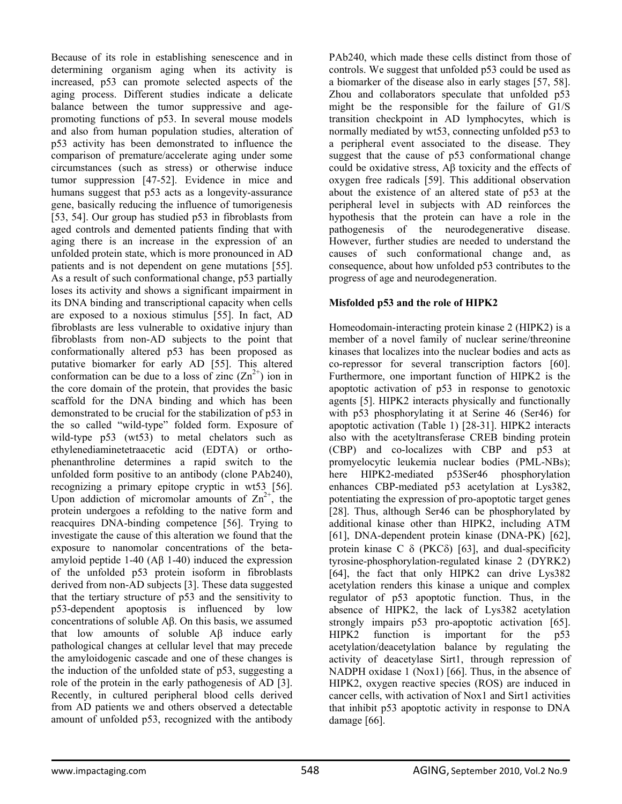Because of its role in establishing senescence and in determining organism aging when its activity is increased, p53 can promote selected aspects of the aging process. Different studies indicate a delicate balance between the tumor suppressive and agepromoting functions of p53. In several mouse models and also from human population studies, alteration of p53 activity has been demonstrated to influence the comparison of premature/accelerate aging under some circumstances (such as stress) or otherwise induce tumor suppression [47-52]. Evidence in mice and humans suggest that p53 acts as a longevity-assurance gene, basically reducing the influence of tumorigenesis [53, 54]. Our group has studied p53 in fibroblasts from aged controls and demented patients finding that with aging there is an increase in the expression of an unfolded protein state, which is more pronounced in AD patients and is not dependent on gene mutations [55]. As a result of such conformational change, p53 partially loses its activity and shows a significant impairment in its DNA binding and transcriptional capacity when cells are exposed to a noxious stimulus [55]. In fact, AD fibroblasts are less vulnerable to oxidative injury than fibroblasts from non-AD subjects to the point that conformationally altered p53 has been proposed as putative biomarker for early AD [55]. This altered conformation can be due to a loss of zinc  $(Zn^{2+})$  ion in the core domain of the protein, that provides the basic scaffold for the DNA binding and which has been demonstrated to be crucial for the stabilization of p53 in the so called "wild-type" folded form. Exposure of wild-type p53 (wt53) to metal chelators such as ethylenediaminetetraacetic acid (EDTA) or orthophenanthroline determines a rapid switch to the unfolded form positive to an antibody (clone PAb240), recognizing a primary epitope cryptic in wt53 [56]. Upon addiction of micromolar amounts of  $\text{Zn}^{2+}$ , the protein undergoes a refolding to the native form and reacquires DNA-binding competence [56]. Trying to investigate the cause of this alteration we found that the exposure to nanomolar concentrations of the betaamyloid peptide 1-40 (Aβ 1-40) induced the expression of the unfolded p53 protein isoform in fibroblasts derived from non-AD subjects [3]. These data suggested that the tertiary structure of p53 and the sensitivity to p53-dependent apoptosis is influenced by low concentrations of soluble Aβ. On this basis, we assumed that low amounts of soluble Aβ induce early pathological changes at cellular level that may precede the amyloidogenic cascade and one of these changes is the induction of the unfolded state of p53, suggesting a role of the protein in the early pathogenesis of AD [3]. Recently, in cultured peripheral blood cells derived from AD patients we and others observed a detectable amount of unfolded p53, recognized with the antibody

PAb240, which made these cells distinct from those of controls. We suggest that unfolded p53 could be used as a biomarker of the disease also in early stages [57, 58]. Zhou and collaborators speculate that unfolded p53 might be the responsible for the failure of G1/S transition checkpoint in AD lymphocytes, which is normally mediated by wt53, connecting unfolded p53 to a peripheral event associated to the disease. They suggest that the cause of p53 conformational change could be oxidative stress, Aβ toxicity and the effects of oxygen free radicals [59]. This additional observation about the existence of an altered state of p53 at the peripheral level in subjects with AD reinforces the hypothesis that the protein can have a role in the pathogenesis of the neurodegenerative disease. However, further studies are needed to understand the causes of such conformational change and, as consequence, about how unfolded p53 contributes to the progress of age and neurodegeneration.

## **Misfolded p53 and the role of HIPK2**

Homeodomain-interacting protein kinase 2 (HIPK2) is a member of a novel family of nuclear serine/threonine kinases that localizes into the nuclear bodies and acts as co-repressor for several transcription factors [60]. Furthermore, one important function of HIPK2 is the apoptotic activation of p53 in response to genotoxic agents [5]. HIPK2 interacts physically and functionally with p53 phosphorylating it at Serine 46 (Ser46) for apoptotic activation (Table 1) [28-31]. HIPK2 interacts also with the acetyltransferase CREB binding protein (CBP) and co-localizes with CBP and p53 at promyelocytic leukemia nuclear bodies (PML-NBs); here HIPK2-mediated p53Ser46 phosphorylation enhances CBP-mediated p53 acetylation at Lys382, potentiating the expression of pro-apoptotic target genes [28]. Thus, although Ser46 can be phosphorylated by additional kinase other than HIPK2, including ATM [61], DNA-dependent protein kinase (DNA-PK) [62], protein kinase C  $\delta$  (PKC $\delta$ ) [63], and dual-specificity tyrosine-phosphorylation-regulated kinase 2 (DYRK2) [64], the fact that only HIPK2 can drive Lys382 acetylation renders this kinase a unique and complex regulator of p53 apoptotic function. Thus, in the absence of HIPK2, the lack of Lys382 acetylation strongly impairs p53 pro-apoptotic activation [65]. HIPK2 function is important for the p53 acetylation/deacetylation balance by regulating the activity of deacetylase Sirt1, through repression of NADPH oxidase 1 (Nox1) [66]. Thus, in the absence of HIPK2, oxygen reactive species (ROS) are induced in cancer cells, with activation of Nox1 and Sirt1 activities that inhibit p53 apoptotic activity in response to DNA damage [66].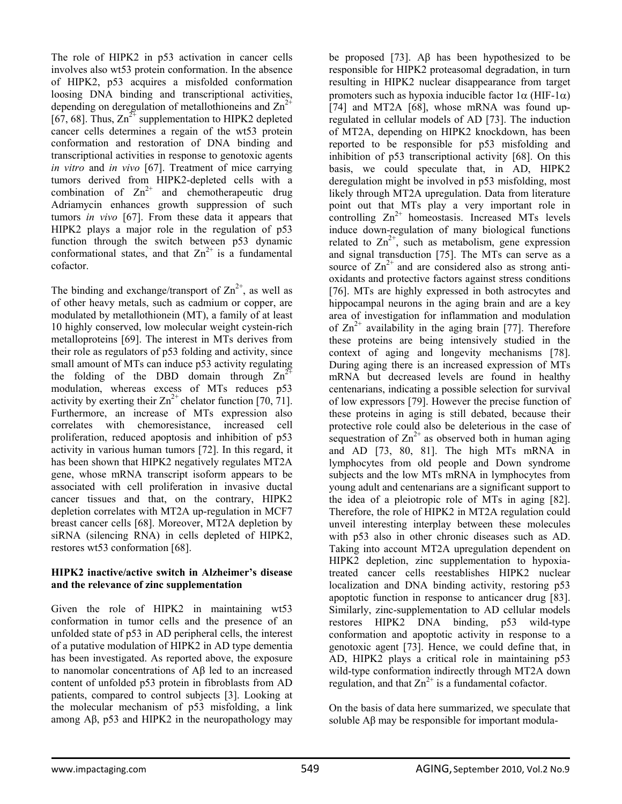The role of HIPK2 in p53 activation in cancer cells involves also wt53 protein conformation. In the absence of HIPK2, p53 acquires a misfolded conformation loosing DNA binding and transcriptional activities, depending on deregulation of metallothioneins and  $\text{Zn}^2$ [67, 68]. Thus,  $\text{Zn}^{2+}$  supplementation to HIPK2 depleted cancer cells determines a regain of the wt53 protein conformation and restoration of DNA binding and transcriptional activities in response to genotoxic agents *in vitro* and *in vivo* [67]. Treatment of mice carrying tumors derived from HIPK2-depleted cells with a combination of  $Zn^{2+}$  and chemotherapeutic drug Adriamycin enhances growth suppression of such tumors *in vivo* [67]. From these data it appears that HIPK2 plays a major role in the regulation of p53 function through the switch between p53 dynamic conformational states, and that  $\text{Zn}^{2+}$  is a fundamental cofactor.

The binding and exchange/transport of  $\text{Zn}^{2+}$ , as well as of other heavy metals, such as cadmium or copper, are modulated by metallothionein (MT), a family of at least 10 highly conserved, low molecular weight cystein-rich metalloproteins [69]. The interest in MTs derives from their role as regulators of p53 folding and activity, since small amount of MTs can induce p53 activity regulating the folding of the DBD domain through  $Zn^2$ modulation, whereas excess of MTs reduces p53 activity by exerting their  $\text{Zn}^{2+}$  chelator function [70, 71]. Furthermore, an increase of MTs expression also correlates with chemoresistance, increased cell proliferation, reduced apoptosis and inhibition of p53 activity in various human tumors [72]. In this regard, it has been shown that HIPK2 negatively regulates MT2A gene, whose mRNA transcript isoform appears to be associated with cell proliferation in invasive ductal cancer tissues and that, on the contrary, HIPK2 depletion correlates with MT2A up-regulation in MCF7 breast cancer cells [68]. Moreover, MT2A depletion by siRNA (silencing RNA) in cells depleted of HIPK2, restores wt53 conformation [68].

## **HIPK2 inactive/active switch in Alzheimer's disease and the relevance of zinc supplementation**

Given the role of HIPK2 in maintaining wt53 conformation in tumor cells and the presence of an unfolded state of p53 in AD peripheral cells, the interest of a putative modulation of HIPK2 in AD type dementia has been investigated. As reported above, the exposure to nanomolar concentrations of Aβ led to an increased content of unfolded p53 protein in fibroblasts from AD patients, compared to control subjects [3]. Looking at the molecular mechanism of p53 misfolding, a link among Aβ, p53 and HIPK2 in the neuropathology may

be proposed [73]. Aβ has been hypothesized to be responsible for HIPK2 proteasomal degradation, in turn resulting in HIPK2 nuclear disappearance from target promoters such as hypoxia inducible factor 1α (HIF-1α) [74] and MT2A [68], whose mRNA was found upregulated in cellular models of AD [73]. The induction of MT2A, depending on HIPK2 knockdown, has been reported to be responsible for p53 misfolding and inhibition of p53 transcriptional activity [68]. On this basis, we could speculate that, in AD, HIPK2 deregulation might be involved in p53 misfolding, most likely through MT2A upregulation. Data from literature point out that MTs play a very important role in controlling  $Zn^{2+}$  homeostasis. Increased MTs levels induce down-regulation of many biological functions related to  $\text{Zn}^{2+}$ , such as metabolism, gene expression and signal transduction [75]. The MTs can serve as a source of  $\text{Zn}^{2+}$  and are considered also as strong antioxidants and protective factors against stress conditions [76]. MTs are highly expressed in both astrocytes and hippocampal neurons in the aging brain and are a key area of investigation for inflammation and modulation of  $\text{Zn}^{2+}$  availability in the aging brain [77]. Therefore these proteins are being intensively studied in the context of aging and longevity mechanisms [78]. During aging there is an increased expression of MTs mRNA but decreased levels are found in healthy centenarians, indicating a possible selection for survival of low expressors [79]. However the precise function of these proteins in aging is still debated, because their protective role could also be deleterious in the case of sequestration of  $\text{Zn}^{2+}$  as observed both in human aging and AD [73, 80, 81]. The high MTs mRNA in lymphocytes from old people and Down syndrome subjects and the low MTs mRNA in lymphocytes from young adult and centenarians are a significant support to the idea of a pleiotropic role of MTs in aging [82]. Therefore, the role of HIPK2 in MT2A regulation could unveil interesting interplay between these molecules with p53 also in other chronic diseases such as AD. Taking into account MT2A upregulation dependent on HIPK2 depletion, zinc supplementation to hypoxiatreated cancer cells reestablishes HIPK2 nuclear localization and DNA binding activity, restoring p53 apoptotic function in response to anticancer drug [83]. Similarly, zinc-supplementation to AD cellular models restores HIPK2 DNA binding, p53 wild-type conformation and apoptotic activity in response to a genotoxic agent [73]. Hence, we could define that, in AD, HIPK2 plays a critical role in maintaining p53 wild-type conformation indirectly through MT2A down regulation, and that  $Zn^{2+}$  is a fundamental cofactor.

On the basis of data here summarized, we speculate that soluble Aβ may be responsible for important modula-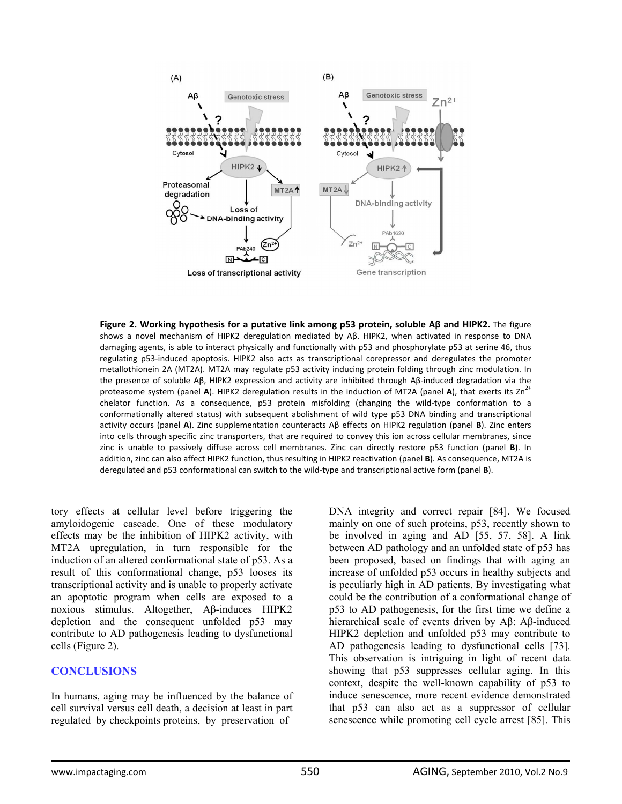

**Figure 2. Working hypothesis for a putative link among p53 protein, soluble Aβ and HIPK2.** The figure shows a novel mechanism of HIPK2 deregulation mediated by Aβ. HIPK2, when activated in response to DNA damaging agents, is able to interact physically and functionally with p53 and phosphorylate p53 at serine 46, thus regulating p53‐induced apoptosis. HIPK2 also acts as transcriptional corepressor and deregulates the promoter metallothionein 2A (MT2A). MT2A may regulate p53 activity inducing protein folding through zinc modulation. In the presence of soluble Aβ, HIPK2 expression and activity are inhibited through Aβ‐induced degradation via the proteasome system (panel A). HIPK2 deregulation results in the induction of MT2A (panel A), that exerts its  $Zn^{2+}$ chelator function. As a consequence, p53 protein misfolding (changing the wild-type conformation to a conformationally altered status) with subsequent abolishment of wild type p53 DNA binding and transcriptional activity occurs (panel **A**). Zinc supplementation counteracts Aβ effects on HIPK2 regulation (panel **B**). Zinc enters into cells through specific zinc transporters, that are required to convey this ion across cellular membranes, since zinc is unable to passively diffuse across cell membranes. Zinc can directly restore p53 function (panel **B**). In addition, zinc can also affect HIPK2 function, thus resulting in HIPK2 reactivation (panel **B**). As consequence, MT2A is deregulated and p53 conformational can switch to the wild‐type and transcriptional active form (panel **B**).

tory effects at cellular level before triggering the amyloidogenic cascade. One of these modulatory effects may be the inhibition of HIPK2 activity, with MT2A upregulation, in turn responsible for the induction of an altered conformational state of p53. As a result of this conformational change, p53 looses its transcriptional activity and is unable to properly activate an apoptotic program when cells are exposed to a noxious stimulus. Altogether, Aβ-induces HIPK2 depletion and the consequent unfolded p53 may contribute to AD pathogenesis leading to dysfunctional cells (Figure 2).

## **CONCLUSIONS**

In humans, aging may be influenced by the balance of cell survival versus cell death, a decision at least in part regulated by checkpoints proteins, by preservation of

DNA integrity and correct repair [84]. We focused mainly on one of such proteins, p53, recently shown to be involved in aging and AD [55, 57, 58]. A link between AD pathology and an unfolded state of p53 has been proposed, based on findings that with aging an increase of unfolded p53 occurs in healthy subjects and is peculiarly high in AD patients. By investigating what could be the contribution of a conformational change of p53 to AD pathogenesis, for the first time we define a hierarchical scale of events driven by Aβ: Aβ-induced HIPK2 depletion and unfolded p53 may contribute to AD pathogenesis leading to dysfunctional cells [73]. This observation is intriguing in light of recent data showing that p53 suppresses cellular aging. In this context, despite the well-known capability of p53 to induce senescence, more recent evidence demonstrated that p53 can also act as a suppressor of cellular senescence while promoting cell cycle arrest [85]. This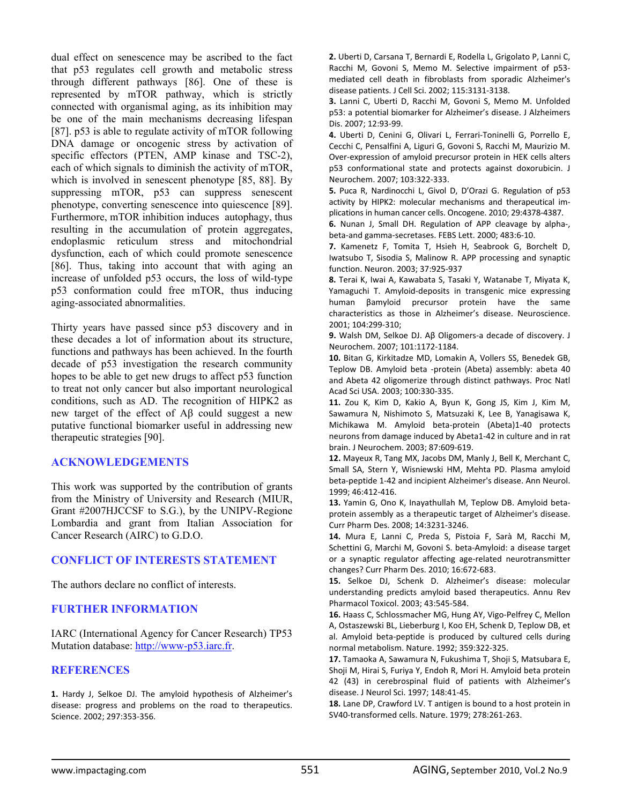dual effect on senescence may be ascribed to the fact that p53 regulates cell growth and metabolic stress through different pathways [86]. One of these is represented by mTOR pathway, which is strictly connected with organismal aging, as its inhibition may be one of the main mechanisms decreasing lifespan [87]. p53 is able to regulate activity of mTOR following DNA damage or oncogenic stress by activation of specific effectors (PTEN, AMP kinase and TSC-2), each of which signals to diminish the activity of mTOR, which is involved in senescent phenotype [85, 88]. By suppressing mTOR, p53 can suppress senescent phenotype, converting senescence into quiescence [89]. Furthermore, mTOR inhibition induces autophagy, thus resulting in the accumulation of protein aggregates, endoplasmic reticulum stress and mitochondrial dysfunction, each of which could promote senescence [86]. Thus, taking into account that with aging an increase of unfolded p53 occurs, the loss of wild-type p53 conformation could free mTOR, thus inducing aging-associated abnormalities.

Thirty years have passed since p53 discovery and in these decades a lot of information about its structure, functions and pathways has been achieved. In the fourth decade of p53 investigation the research community hopes to be able to get new drugs to affect p53 function to treat not only cancer but also important neurological conditions, such as AD. The recognition of HIPK2 as new target of the effect of Aβ could suggest a new putative functional biomarker useful in addressing new therapeutic strategies [90].

#### **ACKNOWLEDGEMENTS**

This work was supported by the contribution of grants from the Ministry of University and Research (MIUR, Grant #2007HJCCSF to S.G.), by the UNIPV-Regione Lombardia and grant from Italian Association for Cancer Research (AIRC) to G.D.O.

#### **CONFLICT OF INTERESTS STATEMENT**

The authors declare no conflict of interests.

#### **FURTHER INFORMATION**

IARC (International Agency for Cancer Research) TP53 Mutation database: http://www-p53.iarc.fr.

#### **REFERENCES**

**1.** Hardy J, Selkoe DJ. The amyloid hypothesis of Alzheimer's disease: progress and problems on the road to therapeutics. Science. 2002; 297:353‐356.

**2.** Uberti D, Carsana T, Bernardi E, Rodella L, Grigolato P, Lanni C, Racchi M, Govoni S, Memo M. Selective impairment of p53‐ mediated cell death in fibroblasts from sporadic Alzheimer's disease patients. J Cell Sci. 2002; 115:3131‐3138.

**3.** Lanni C, Uberti D, Racchi M, Govoni S, Memo M. Unfolded p53: a potential biomarker for Alzheimer's disease. J Alzheimers Dis. 2007; 12:93‐99.

**4.** Uberti D, Cenini G, Olivari L, Ferrari‐Toninelli G, Porrello E, Cecchi C, Pensalfini A, Liguri G, Govoni S, Racchi M, Maurizio M. Over‐expression of amyloid precursor protein in HEK cells alters p53 conformational state and protects against doxorubicin. J Neurochem. 2007; 103:322‐333.

**5.** Puca R, Nardinocchi L, Givol D, D'Orazi G. Regulation of p53 activity by HIPK2: molecular mechanisms and therapeutical im‐ plications in human cancer cells. Oncogene. 2010; 29:4378‐4387.

**6.** Nunan J, Small DH. Regulation of APP cleavage by alpha‐, beta‐and gamma‐secretases. FEBS Lett. 2000; 483:6‐10.

**7.** Kamenetz F, Tomita T, Hsieh H, Seabrook G, Borchelt D, Iwatsubo T, Sisodia S, Malinow R. APP processing and synaptic function. Neuron. 2003; 37:925‐937

**8.** Terai K, Iwai A, Kawabata S, Tasaki Y, Watanabe T, Miyata K, Yamaguchi T. Amyloid‐deposits in transgenic mice expressing human βamyloid precursor protein have the same characteristics as those in Alzheimer's disease. Neuroscience. 2001; 104:299‐310;

**9.** Walsh DM, Selkoe DJ. Aβ Oligomers‐a decade of discovery. J Neurochem. 2007; 101:1172‐1184.

**10.** Bitan G, Kirkitadze MD, Lomakin A, Vollers SS, Benedek GB, Teplow DB. Amyloid beta -protein (Abeta) assembly: abeta 40 and Abeta 42 oligomerize through distinct pathways. Proc Natl Acad Sci USA. 2003; 100:330‐335.

**11.** Zou K, Kim D, Kakio A, Byun K, Gong JS, Kim J, Kim M, Sawamura N, Nishimoto S, Matsuzaki K, Lee B, Yanagisawa K, Michikawa M. Amyloid beta‐protein (Abeta)1‐40 protects neurons from damage induced by Abeta1‐42 in culture and in rat brain. J Neurochem. 2003; 87:609‐619.

**12.** Mayeux R, Tang MX, Jacobs DM, Manly J, Bell K, Merchant C, Small SA, Stern Y, Wisniewski HM, Mehta PD. Plasma amyloid beta‐peptide 1‐42 and incipient Alzheimer's disease. Ann Neurol. 1999; 46:412‐416.

**13.** Yamin G, Ono K, Inayathullah M, Teplow DB. Amyloid beta‐ protein assembly as a therapeutic target of Alzheimer's disease. Curr Pharm Des. 2008; 14:3231‐3246.

**14.** Mura E, Lanni C, Preda S, Pistoia F, Sarà M, Racchi M, Schettini G, Marchi M, Govoni S. beta‐Amyloid: a disease target or a synaptic regulator affecting age‐related neurotransmitter changes? Curr Pharm Des. 2010; 16:672‐683.

**15.** Selkoe DJ, Schenk D. Alzheimer's disease: molecular understanding predicts amyloid based therapeutics. Annu Rev Pharmacol Toxicol. 2003; 43:545‐584.

**16.** Haass C, Schlossmacher MG, Hung AY, Vigo‐Pelfrey C, Mellon A, Ostaszewski BL, Lieberburg I, Koo EH, Schenk D, Teplow DB, et al. Amyloid beta‐peptide is produced by cultured cells during normal metabolism. Nature. 1992; 359:322‐325.

**17.** Tamaoka A, Sawamura N, Fukushima T, Shoji S, Matsubara E, Shoji M, Hirai S, Furiya Y, Endoh R, Mori H. Amyloid beta protein 42 (43) in cerebrospinal fluid of patients with Alzheimer's disease. J Neurol Sci. 1997; 148:41‐45.

**18.** Lane DP, Crawford LV. T antigen is bound to a host protein in SV40‐transformed cells. Nature. 1979; 278:261‐263.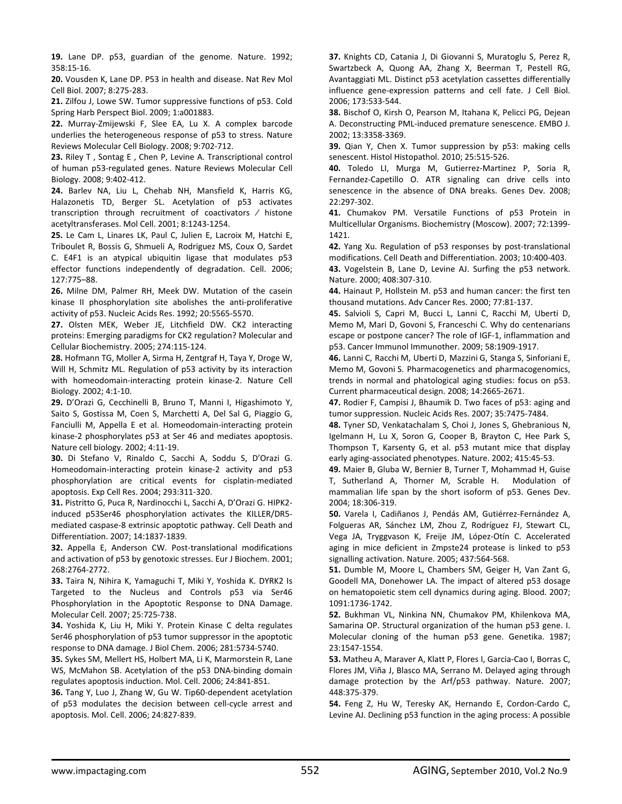**19.** Lane DP. p53, guardian of the genome. Nature. 1992; 358:15‐16.

**20.** Vousden K, Lane DP. P53 in health and disease. Nat Rev Mol Cell Biol. 2007; 8:275‐283.

**21.** Zilfou J, Lowe SW. Tumor suppressive functions of p53. Cold Spring Harb Perspect Biol. 2009; 1:a001883.

**22.** Murray‐Zmijewski F, Slee EA, Lu X. A complex barcode underlies the heterogeneous response of p53 to stress. Nature Reviews Molecular Cell Biology. 2008; 9:702‐712.

**23.** Riley T , Sontag E , Chen P, Levine A. Transcriptional control of human p53‐regulated genes. Nature Reviews Molecular Cell Biology. 2008; 9:402‐412.

**24.** Barlev NA, Liu L, Chehab NH, Mansfield K, Harris KG, Halazonetis TD, Berger SL. Acetylation of p53 activates transcription through recruitment of coactivators ⁄ histone acetyltransferases. Mol Cell. 2001; 8:1243‐1254.

**25.** Le Cam L, Linares LK, Paul C, Julien E, Lacroix M, Hatchi E, Triboulet R, Bossis G, Shmueli A, Rodriguez MS, Coux O, Sardet C. E4F1 is an atypical ubiquitin ligase that modulates p53 effector functions independently of degradation. Cell. 2006; 127:775–88.

**26.** Milne DM, Palmer RH, Meek DW. Mutation of the casein kinase II phosphorylation site abolishes the anti-proliferative activity of p53. Nucleic Acids Res. 1992; 20:5565‐5570.

**27.** Olsten MEK, Weber JE, Litchfield DW. CK2 interacting proteins: Emerging paradigms for CK2 regulation? Molecular and Cellular Biochemistry. 2005; 274:115‐124.

**28.** Hofmann TG, Moller A, Sirma H, Zentgraf H, Taya Y, Droge W, Will H, Schmitz ML. Regulation of p53 activity by its interaction with homeodomain‐interacting protein kinase‐2. Nature Cell Biology. 2002; 4:1‐10.

**29.** D'Orazi G, Cecchinelli B, Bruno T, Manni I, Higashimoto Y, Saito S, Gostissa M, Coen S, Marchetti A, Del Sal G, Piaggio G, Fanciulli M, Appella E et al. Homeodomain‐interacting protein kinase‐2 phosphorylates p53 at Ser 46 and mediates apoptosis. Nature cell biology. 2002; 4:11‐19.

**30.** Di Stefano V, Rinaldo C, Sacchi A, Soddu S, D'Orazi G. Homeodomain‐interacting protein kinase‐2 activity and p53 phosphorylation are critical events for cisplatin‐mediated apoptosis. Exp Cell Res. 2004; 293:311‐320.

**31.** Pistritto G, Puca R, Nardinocchi L, Sacchi A, D'Orazi G. HIPK2‐ induced p53Ser46 phosphorylation activates the KILLER/DR5‐ mediated caspase‐8 extrinsic apoptotic pathway. Cell Death and Differentiation. 2007; 14:1837‐1839.

**32.** Appella E, Anderson CW. Post-translational modifications and activation of p53 by genotoxic stresses. Eur J Biochem. 2001; 268:2764‐2772.

**33.** Taira N, Nihira K, Yamaguchi T, Miki Y, Yoshida K. DYRK2 Is Targeted to the Nucleus and Controls p53 via Ser46 Phosphorylation in the Apoptotic Response to DNA Damage. Molecular Cell. 2007; 25:725‐738.

**34.** Yoshida K, Liu H, Miki Y. Protein Kinase C delta regulates Ser46 phosphorylation of p53 tumor suppressor in the apoptotic response to DNA damage. J Biol Chem. 2006; 281:5734‐5740.

**35.** Sykes SM, Mellert HS, Holbert MA, Li K, Marmorstein R, Lane WS, McMahon SB. Acetylation of the p53 DNA‐binding domain regulates apoptosis induction. Mol. Cell. 2006; 24:841‐851.

**36.** Tang Y, Luo J, Zhang W, Gu W. Tip60‐dependent acetylation of p53 modulates the decision between cell‐cycle arrest and apoptosis. Mol. Cell. 2006; 24:827‐839.

**37.** Knights CD, Catania J, Di Giovanni S, Muratoglu S, Perez R, Swartzbeck A, Quong AA, Zhang X, Beerman T, Pestell RG, Avantaggiati ML. Distinct p53 acetylation cassettes differentially influence gene‐expression patterns and cell fate. J Cell Biol. 2006; 173:533‐544.

**38.** Bischof O, Kirsh O, Pearson M, Itahana K, Pelicci PG, Dejean A. Deconstructing PML‐induced premature senescence. EMBO J. 2002; 13:3358‐3369.

**39.** Qian Y, Chen X. Tumor suppression by p53: making cells senescent. Histol Histopathol. 2010; 25:515‐526.

**40.** Toledo LI, Murga M, Gutierrez‐Martinez P, Soria R, Fernandez‐Capetillo O. ATR signaling can drive cells into senescence in the absence of DNA breaks. Genes Dev. 2008; 22:297‐302.

**41.** Chumakov PM. Versatile Functions of p53 Protein in Multicellular Organisms. Biochemistry (Moscow). 2007; 72:1399‐ 1421.

42. Yang Xu. Regulation of p53 responses by post-translational modifications. Cell Death and Differentiation. 2003; 10:400‐403. **43.** Vogelstein B, Lane D, Levine AJ. Surfing the p53 network.

Nature. 2000; 408:307‐310. **44.** Hainaut P, Hollstein M. p53 and human cancer: the first ten thousand mutations. Adv Cancer Res. 2000; 77:81‐137.

**45.** Salvioli S, Capri M, Bucci L, Lanni C, Racchi M, Uberti D, Memo M, Mari D, Govoni S, Franceschi C. Why do centenarians escape or postpone cancer? The role of IGF‐1, inflammation and p53. Cancer Immunol Immunother. 2009; 58:1909‐1917.

**46.** Lanni C, Racchi M, Uberti D, Mazzini G, Stanga S, Sinforiani E, Memo M, Govoni S. Pharmacogenetics and pharmacogenomics, trends in normal and phatological aging studies: focus on p53. Current pharmaceutical design. 2008; 14:2665‐2671.

**47.** Rodier F, Campisi J, Bhaumik D. Two faces of p53: aging and tumor suppression. Nucleic Acids Res. 2007; 35:7475‐7484.

**48.** Tyner SD, Venkatachalam S, Choi J, Jones S, Ghebranious N, Igelmann H, Lu X, Soron G, Cooper B, Brayton C, Hee Park S, Thompson T, Karsenty G, et al. p53 mutant mice that display early aging‐associated phenotypes. Nature. 2002; 415:45‐53.

**49.** Maier B, Gluba W, Bernier B, Turner T, Mohammad H, Guise T, Sutherland A, Thorner M, Scrable H. Modulation of mammalian life span by the short isoform of p53. Genes Dev. 2004; 18:306‐319.

**50.** Varela I, Cadiñanos J, Pendás AM, Gutiérrez‐Fernández A, Folgueras AR, Sánchez LM, Zhou Z, Rodríguez FJ, Stewart CL, Vega JA, Tryggvason K, Freije JM, López‐Otín C. Accelerated aging in mice deficient in Zmpste24 protease is linked to p53 signalling activation. Nature. 2005; 437:564‐568.

**51.** Dumble M, Moore L, Chambers SM, Geiger H, Van Zant G, Goodell MA, Donehower LA. The impact of altered p53 dosage on hematopoietic stem cell dynamics during aging. Blood. 2007; 1091:1736‐1742.

**52.** Bukhman VL, Ninkina NN, Chumakov PM, Khilenkova MA, Samarina OP. Structural organization of the human p53 gene. I. Molecular cloning of the human p53 gene. Genetika. 1987; 23:1547‐1554.

**53.** Matheu A, Maraver A, Klatt P, Flores I, Garcia‐Cao I, Borras C, Flores JM, Viña J, Blasco MA, Serrano M. Delayed aging through damage protection by the Arf/p53 pathway. Nature. 2007; 448:375‐379.

**54.** Feng Z, Hu W, Teresky AK, Hernando E, Cordon‐Cardo C, Levine AJ. Declining p53 function in the aging process: A possible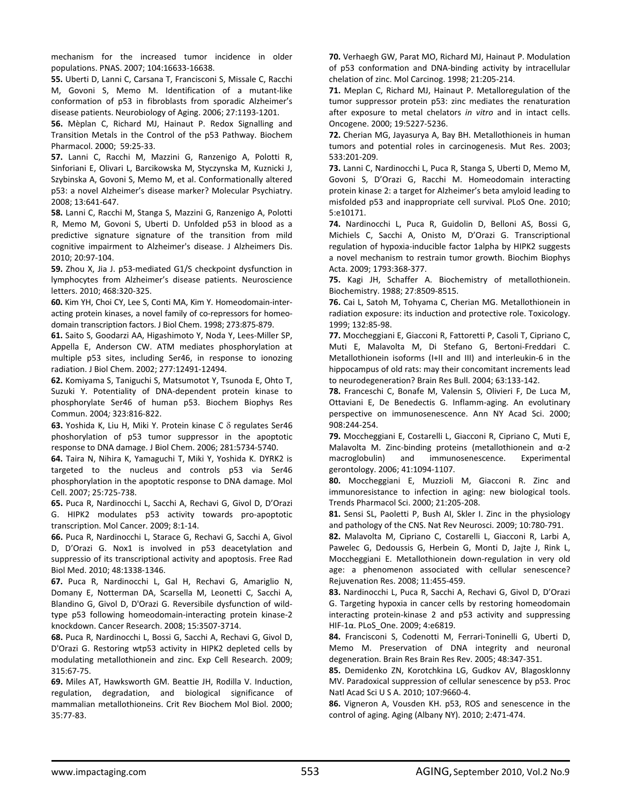mechanism for the increased tumor incidence in older populations. PNAS. 2007; 104:16633‐16638.

**55.** Uberti D, Lanni C, Carsana T, Francisconi S, Missale C, Racchi M, Govoni S, Memo M. Identification of a mutant‐like conformation of p53 in fibroblasts from sporadic Alzheimer's disease patients. Neurobiology of Aging. 2006; 27:1193‐1201.

**56.** Mèplan C, Richard MJ, Hainaut P. Redox Signalling and Transition Metals in the Control of the p53 Pathway. Biochem Pharmacol. 2000; 59:25‐33.

**57.** Lanni C, Racchi M, Mazzini G, Ranzenigo A, Polotti R, Sinforiani E, Olivari L, Barcikowska M, Styczynska M, Kuznicki J, Szybinska A, Govoni S, Memo M, et al. Conformationally altered p53: a novel Alzheimer's disease marker? Molecular Psychiatry. 2008; 13:641‐647.

**58.** Lanni C, Racchi M, Stanga S, Mazzini G, Ranzenigo A, Polotti R, Memo M, Govoni S, Uberti D. Unfolded p53 in blood as a predictive signature signature of the transition from mild cognitive impairment to Alzheimer's disease. J Alzheimers Dis. 2010; 20:97‐104.

**59.** Zhou X, Jia J. p53‐mediated G1/S checkpoint dysfunction in lymphocytes from Alzheimer's disease patients. Neuroscience letters. 2010; 468:320‐325.

**60.** Kim YH, Choi CY, Lee S, Conti MA, Kim Y. Homeodomain‐inter‐ acting protein kinases, a novel family of co-repressors for homeodomain transcription factors. J Biol Chem. 1998; 273:875‐879.

**61.** Saito S, Goodarzi AA, Higashimoto Y, Noda Y, Lees‐Miller SP, Appella E, Anderson CW. ATM mediates phosphorylation at multiple p53 sites, including Ser46, in response to ionozing radiation. J Biol Chem. 2002; 277:12491‐12494.

**62.** Komiyama S, Taniguchi S, Matsumotot Y, Tsunoda E, Ohto T, Suzuki Y. Potentiality of DNA‐dependent protein kinase to phosphorylate Ser46 of human p53. Biochem Biophys Res Commun. 2004*;* 323:816‐822.

**63.** Yoshida K, Liu H, Miki Y. Protein kinase C δ regulates Ser46 phoshorylation of p53 tumor suppressor in the apoptotic response to DNA damage. J Biol Chem. 2006; 281:5734‐5740.

**64.** Taira N, Nihira K, Yamaguchi T, Miki Y, Yoshida K. DYRK2 is targeted to the nucleus and controls p53 via Ser46 phosphorylation in the apoptotic response to DNA damage. Mol Cell. 2007; 25:725‐738.

**65.** Puca R, Nardinocchi L, Sacchi A, Rechavi G, Givol D, D'Orazi G. HIPK2 modulates p53 activity towards pro‐apoptotic transcription. Mol Cancer. 2009; 8:1‐14.

**66.** Puca R, Nardinocchi L, Starace G, Rechavi G, Sacchi A, Givol D, D'Orazi G. Nox1 is involved in p53 deacetylation and suppressio of its transcriptional activity and apoptosis. Free Rad Biol Med. 2010; 48:1338‐1346.

**67.** Puca R, Nardinocchi L, Gal H, Rechavi G, Amariglio N, Domany E, Notterman DA, Scarsella M, Leonetti C, Sacchi A, Blandino G, Givol D, D'Orazi G. Reversibile dysfunction of wild‐ type p53 following homeodomain‐interacting protein kinase‐2 knockdown. Cancer Research. 2008; 15:3507‐3714.

**68.** Puca R, Nardinocchi L, Bossi G, Sacchi A, Rechavi G, Givol D, D'Orazi G. Restoring wtp53 activity in HIPK2 depleted cells by modulating metallothionein and zinc. Exp Cell Research. 2009; 315:67‐75.

**69.** Miles AT, Hawksworth GM. Beattie JH, Rodilla V. Induction, regulation, degradation, and biological significance of mammalian metallothioneins. Crit Rev Biochem Mol Biol. 2000; 35:77‐83.

**70.** Verhaegh GW, Parat MO, Richard MJ, Hainaut P. Modulation of p53 conformation and DNA‐binding activity by intracellular chelation of zinc. Mol Carcinog. 1998; 21:205‐214.

**71.** Meplan C, Richard MJ, Hainaut P. Metalloregulation of the tumor suppressor protein p53: zinc mediates the renaturation after exposure to metal chelators *in vitro* and in intact cells. Oncogene. 2000; 19:5227‐5236.

**72.** Cherian MG, Jayasurya A, Bay BH. Metallothioneis in human tumors and potential roles in carcinogenesis. Mut Res. 2003; 533:201‐209.

**73.** Lanni C, Nardinocchi L, Puca R, Stanga S, Uberti D, Memo M, Govoni S, D'Orazi G, Racchi M. Homeodomain interacting protein kinase 2: a target for Alzheimer's beta amyloid leading to misfolded p53 and inappropriate cell survival. PLoS One. 2010; 5:e10171.

**74.** Nardinocchi L, Puca R, Guidolin D, Belloni AS, Bossi G, Michiels C, Sacchi A, Onisto M, D'Orazi G. Transcriptional regulation of hypoxia‐inducible factor 1alpha by HIPK2 suggests a novel mechanism to restrain tumor growth. Biochim Biophys Acta. 2009; 1793:368‐377.

**75.** Kagi JH, Schaffer A. Biochemistry of metallothionein. Biochemistry. 1988; 27:8509‐8515.

**76.** Cai L, Satoh M, Tohyama C, Cherian MG. Metallothionein in radiation exposure: its induction and protective role. Toxicology. 1999; 132:85‐98.

**77.** Moccheggiani E, Giacconi R, Fattoretti P, Casoli T, Cipriano C, Muti E, Malavolta M, Di Stefano G, Bertoni‐Freddari C. Metallothionein isoforms (I+II and III) and interleukin‐6 in the hippocampus of old rats: may their concomitant increments lead to neurodegeneration? Brain Res Bull. 2004; 63:133‐142.

**78.** Franceschi C, Bonafe M, Valensin S, Olivieri F, De Luca M, Ottaviani E, De Benedectis G. Inflamm‐aging. An evolutinary perspective on immunosenescence. Ann NY Acad Sci. 2000; 908:244‐254.

**79.** Moccheggiani E, Costarelli L, Giacconi R, Cipriano C, Muti E, Malavolta M. Zinc‐binding proteins (metallothionein and α‐2 macroglobulin) and immunosenescence. Experimental gerontology. 2006; 41:1094‐1107.

**80.** Moccheggiani E, Muzzioli M, Giacconi R. Zinc and immunoresistance to infection in aging: new biological tools. Trends Pharmacol Sci. 2000; 21:205‐208.

**81.** Sensi SL, Paoletti P, Bush AI, Skler I. Zinc in the physiology and pathology of the CNS. Nat Rev Neurosci. 2009; 10:780‐791.

**82.** Malavolta M, Cipriano C, Costarelli L, Giacconi R, Larbi A, Pawelec G, Dedoussis G, Herbein G, Monti D, Jajte J, Rink L, Moccheggiani E. Metallothionein down‐regulation in very old age: a phenomenon associated with cellular senescence? Rejuvenation Res. 2008; 11:455‐459.

**83.** Nardinocchi L, Puca R, Sacchi A, Rechavi G, Givol D, D'Orazi G. Targeting hypoxia in cancer cells by restoring homeodomain interacting protein‐kinase 2 and p53 activity and suppressing HIF‐1α. PLoS\_One. 2009; 4:e6819.

**84.** Francisconi S, Codenotti M, Ferrari‐Toninelli G, Uberti D, Memo M. Preservation of DNA integrity and neuronal degeneration. Brain Res Brain Res Rev. 2005; 48:347‐351.

**85.** Demidenko ZN, Korotchkina LG, Gudkov AV, Blagosklonny MV. Paradoxical suppression of cellular senescence by p53. Proc Natl Acad Sci U S A. 2010; 107:9660‐4.

**86.** Vigneron A, Vousden KH. p53, ROS and senescence in the control of aging. Aging (Albany NY). 2010; 2:471‐474.